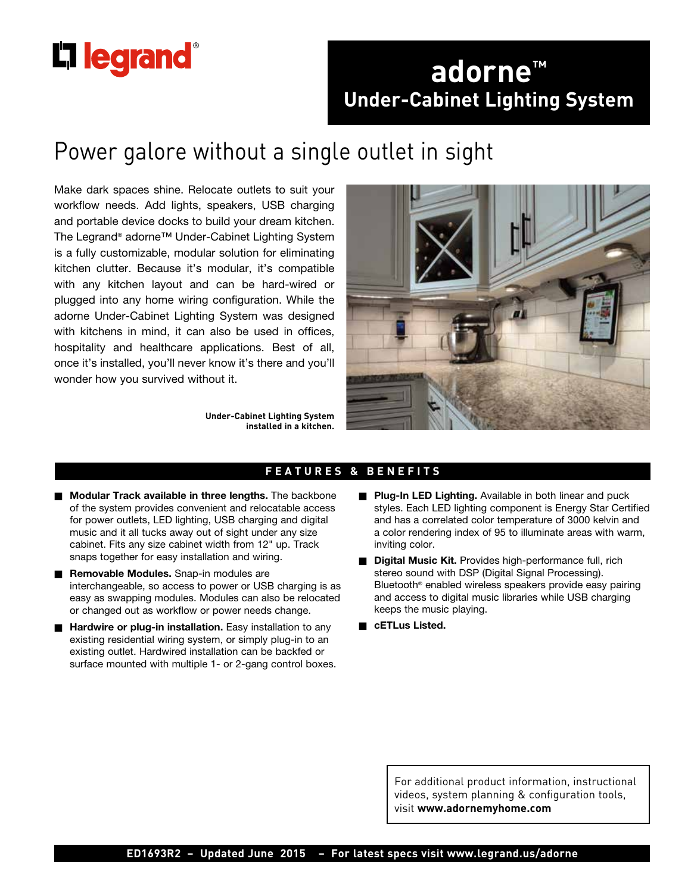# **L'1 legrand**

## **adorne™ Under-Cabinet Lighting System**

# Power galore without a single outlet in sight

Make dark spaces shine. Relocate outlets to suit your workflow needs. Add lights, speakers, USB charging and portable device docks to build your dream kitchen. The Legrand® adorne™ Under-Cabinet Lighting System is a fully customizable, modular solution for eliminating kitchen clutter. Because it's modular, it's compatible with any kitchen layout and can be hard-wired or plugged into any home wiring configuration. While the adorne Under-Cabinet Lighting System was designed with kitchens in mind, it can also be used in offices, hospitality and healthcare applications. Best of all, once it's installed, you'll never know it's there and you'll wonder how you survived without it.



**Under-Cabinet Lighting System installed in a kitchen.**

### **FEATURES & BENEFITS**

- **n Modular Track available in three lengths.** The backbone of the system provides convenient and relocatable access for power outlets, LED lighting, USB charging and digital music and it all tucks away out of sight under any size cabinet. Fits any size cabinet width from 12" up. Track snaps together for easy installation and wiring.
- **Removable Modules.** Snap-in modules are interchangeable, so access to power or USB charging is as easy as swapping modules. Modules can also be relocated or changed out as workflow or power needs change.
- **Hardwire or plug-in installation.** Easy installation to any existing residential wiring system, or simply plug-in to an existing outlet. Hardwired installation can be backfed or surface mounted with multiple 1- or 2-gang control boxes.
- **Plug-In LED Lighting.** Available in both linear and puck styles. Each LED lighting component is Energy Star Certified and has a correlated color temperature of 3000 kelvin and a color rendering index of 95 to illuminate areas with warm, inviting color.
- **Digital Music Kit.** Provides high-performance full, rich stereo sound with DSP (Digital Signal Processing). Bluetooth® enabled wireless speakers provide easy pairing and access to digital music libraries while USB charging keeps the music playing.
- n **cETLus Listed.**

For additional product information, instructional videos, system planning & configuration tools, visit **www.adornemyhome.com**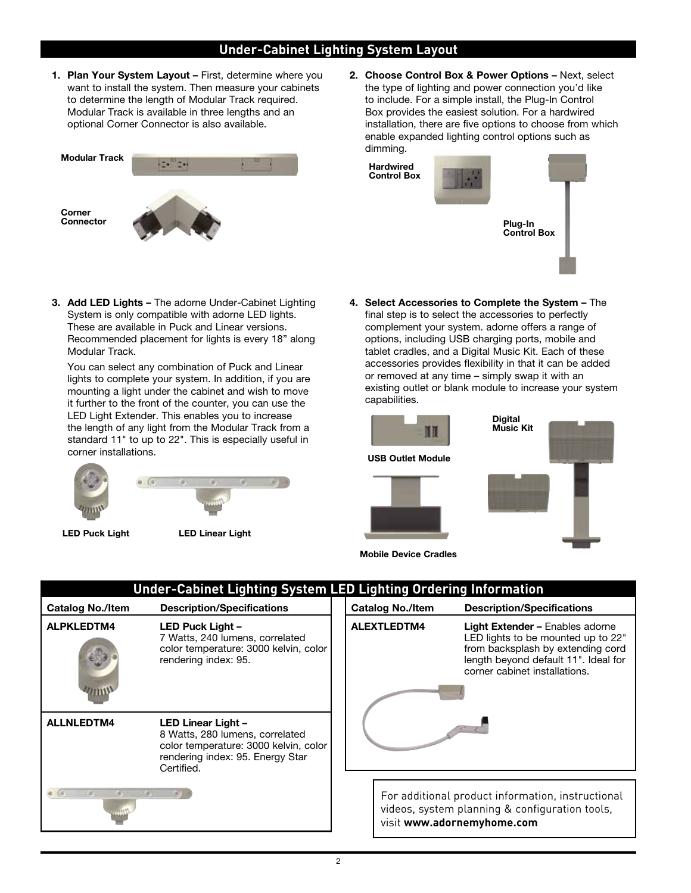### **Under-Cabinet Lighting System Layout**

**1. Plan Your System Layout –** First, determine where you want to install the system. Then measure your cabinets to determine the length of Modular Track required. Modular Track is available in three lengths and an optional Corner Connector is also available.



**3. Add LED Lights –** The adorne Under-Cabinet Lighting System is only compatible with adorne LED lights. These are available in Puck and Linear versions. Recommended placement for lights is every 18" along Modular Track.

You can select any combination of Puck and Linear lights to complete your system. In addition, if you are mounting a light under the cabinet and wish to move it further to the front of the counter, you can use the LED Light Extender. This enables you to increase the length of any light from the Modular Track from a standard 11" to up to 22". This is especially useful in corner installations.





**LED Puck Light LED Linear Light**

**2. Choose Control Box & Power Options –** Next, select the type of lighting and power connection you'd like to include. For a simple install, the Plug-In Control Box provides the easiest solution. For a hardwired installation, there are five options to choose from which enable expanded lighting control options such as dimming.

**Hardwired Control Box**



**4. Select Accessories to Complete the System –** The final step is to select the accessories to perfectly complement your system. adorne offers a range of options, including USB charging ports, mobile and tablet cradles, and a Digital Music Kit. Each of these accessories provides flexibility in that it can be added or removed at any time – simply swap it with an existing outlet or blank module to increase your system capabilities.



| <b>Under-Cabinet Lighting System LED Lighting Ordering Information</b> |                                                                                                                                                  |  |                                                                                                                                                                                                           |                                                                                                                                   |  |
|------------------------------------------------------------------------|--------------------------------------------------------------------------------------------------------------------------------------------------|--|-----------------------------------------------------------------------------------------------------------------------------------------------------------------------------------------------------------|-----------------------------------------------------------------------------------------------------------------------------------|--|
| <b>Catalog No./Item</b>                                                | <b>Description/Specifications</b>                                                                                                                |  | <b>Catalog No./Item</b>                                                                                                                                                                                   | <b>Description/Specifications</b>                                                                                                 |  |
| <b>ALPKLEDTM4</b>                                                      | LED Puck Light -<br>7 Watts, 240 lumens, correlated<br>color temperature: 3000 kelvin, color<br>rendering index: 95.                             |  | ALEXTLEDTM4<br><b>Light Extender – Enables adorne</b><br>LED lights to be mounted up to 22"<br>from backsplash by extending cord<br>length beyond default 11". Ideal for<br>corner cabinet installations. |                                                                                                                                   |  |
| <b>ALLNLEDTM4</b>                                                      | LED Linear Light -<br>8 Watts, 280 lumens, correlated<br>color temperature: 3000 kelvin, color<br>rendering index: 95. Energy Star<br>Certified. |  |                                                                                                                                                                                                           |                                                                                                                                   |  |
|                                                                        |                                                                                                                                                  |  |                                                                                                                                                                                                           | For additional product information, instructional<br>videos, system planning & configuration tools,<br>visit www.adornemyhome.com |  |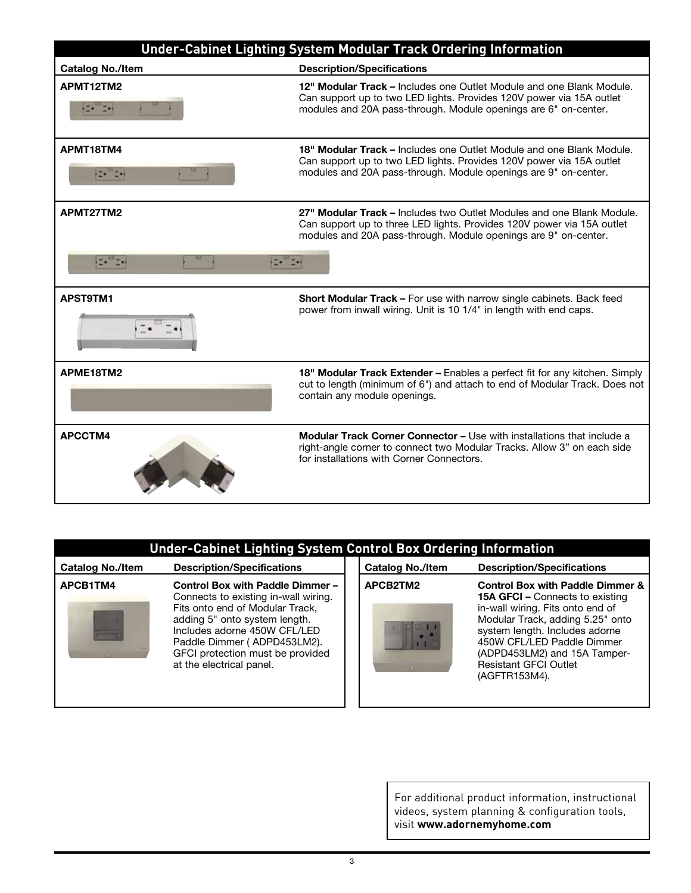

| <b>Under-Cabinet Lighting System Control Box Ordering Information</b> |  |  |
|-----------------------------------------------------------------------|--|--|
|                                                                       |  |  |
|                                                                       |  |  |

| <b>Catalog No./Item</b> | <b>Description/Specifications</b>                                                                                                                                                                                                                                           |
|-------------------------|-----------------------------------------------------------------------------------------------------------------------------------------------------------------------------------------------------------------------------------------------------------------------------|
| APCB1TM4                | Control Box with Paddle Dimmer -<br>Connects to existing in-wall wiring.<br>Fits onto end of Modular Track,<br>adding 5" onto system length.<br>Includes adorne 450W CFL/LED<br>Paddle Dimmer (ADPD453LM2).<br>GFCI protection must be provided<br>at the electrical panel. |

| <b>Catalog No./Item</b> | <b>Description/Specifications</b><br><b>Control Box with Paddle Dimmer &amp;</b><br><b>15A GFCI – Connects to existing</b>                                                                                            |  |  |  |
|-------------------------|-----------------------------------------------------------------------------------------------------------------------------------------------------------------------------------------------------------------------|--|--|--|
| APCB2TM2                |                                                                                                                                                                                                                       |  |  |  |
|                         | in-wall wiring. Fits onto end of<br>Modular Track, adding 5.25" onto<br>system length. Includes adorne<br>450W CFL/LED Paddle Dimmer<br>(ADPD453LM2) and 15A Tamper-<br><b>Resistant GFCI Outlet</b><br>(AGFTR153M4). |  |  |  |

For additional product information, instructional videos, system planning & configuration tools, visit **www.adornemyhome.com**